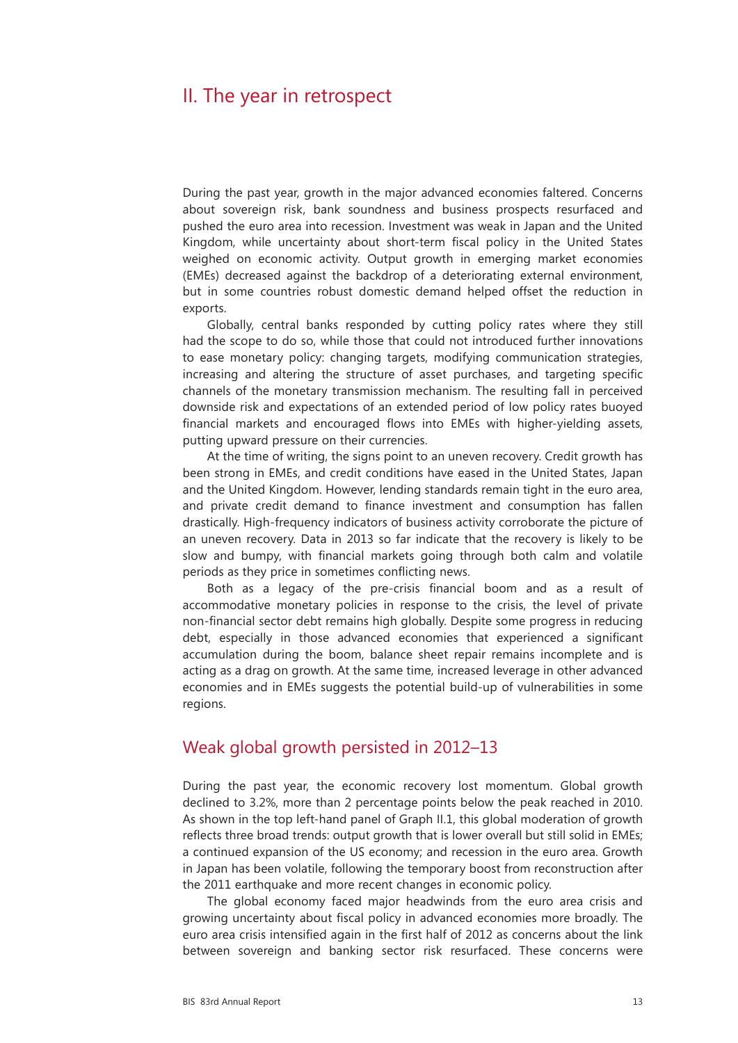# II. The year in retrospect

During the past year, growth in the major advanced economies faltered. Concerns about sovereign risk, bank soundness and business prospects resurfaced and pushed the euro area into recession. Investment was weak in Japan and the United Kingdom, while uncertainty about short-term fiscal policy in the United States weighed on economic activity. Output growth in emerging market economies (EMEs) decreased against the backdrop of a deteriorating external environment, but in some countries robust domestic demand helped offset the reduction in exports.

Globally, central banks responded by cutting policy rates where they still had the scope to do so, while those that could not introduced further innovations to ease monetary policy: changing targets, modifying communication strategies, increasing and altering the structure of asset purchases, and targeting specific channels of the monetary transmission mechanism. The resulting fall in perceived downside risk and expectations of an extended period of low policy rates buoyed financial markets and encouraged flows into EMEs with higher-yielding assets, putting upward pressure on their currencies.

At the time of writing, the signs point to an uneven recovery. Credit growth has been strong in EMEs, and credit conditions have eased in the United States, Japan and the United Kingdom. However, lending standards remain tight in the euro area, and private credit demand to finance investment and consumption has fallen drastically. High-frequency indicators of business activity corroborate the picture of an uneven recovery. Data in 2013 so far indicate that the recovery is likely to be slow and bumpy, with financial markets going through both calm and volatile periods as they price in sometimes conflicting news.

Both as a legacy of the pre-crisis financial boom and as a result of accommodative monetary policies in response to the crisis, the level of private non-financial sector debt remains high globally. Despite some progress in reducing debt, especially in those advanced economies that experienced a significant accumulation during the boom, balance sheet repair remains incomplete and is acting as a drag on growth. At the same time, increased leverage in other advanced economies and in EMEs suggests the potential build-up of vulnerabilities in some regions.

## Weak global growth persisted in 2012–13

During the past year, the economic recovery lost momentum. Global growth declined to 3.2%, more than 2 percentage points below the peak reached in 2010. As shown in the top left-hand panel of Graph II.1, this global moderation of growth reflects three broad trends: output growth that is lower overall but still solid in EMEs; a continued expansion of the US economy; and recession in the euro area. Growth in Japan has been volatile, following the temporary boost from reconstruction after the 2011 earthquake and more recent changes in economic policy.

The global economy faced major headwinds from the euro area crisis and growing uncertainty about fiscal policy in advanced economies more broadly. The euro area crisis intensified again in the first half of 2012 as concerns about the link between sovereign and banking sector risk resurfaced. These concerns were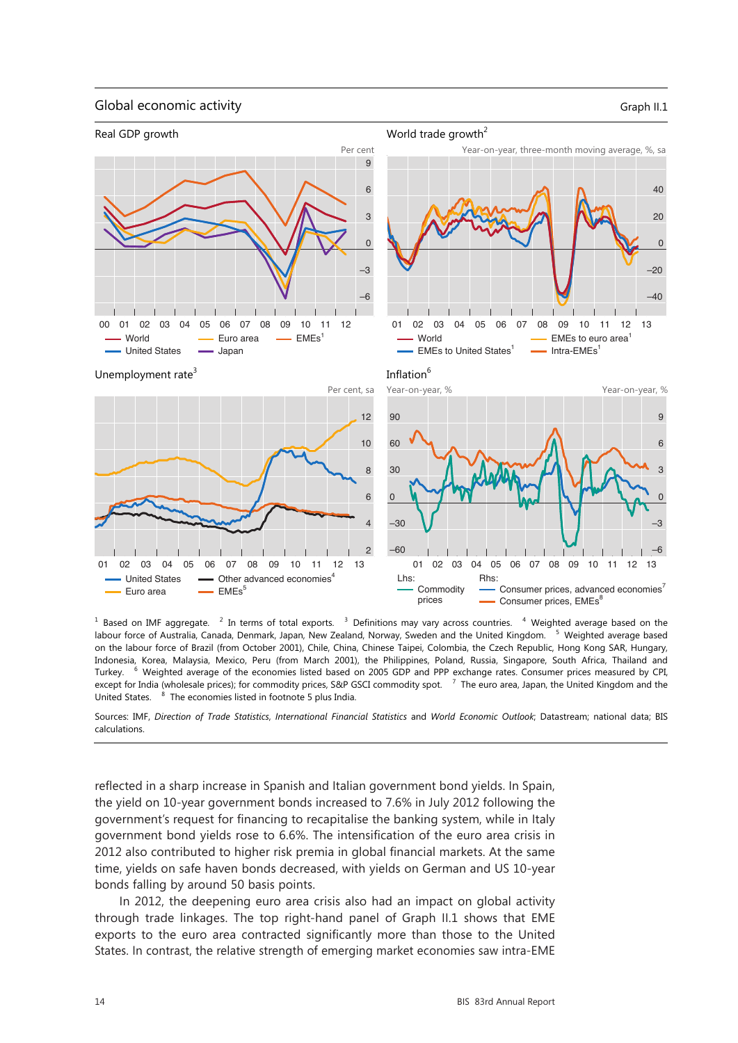#### Global economic activity Graph II.1 and Graph II.1 and Graph II.1 and Graph II.1 and Graph II.1 and Graph II.1



 $1$  Based on IMF aggregate.  $2$  In terms of total exports.  $3$  Definitions may vary across countries.  $4$  Weighted average based on the labour force of Australia, Canada, Denmark, Japan, New Zealand, Norway, Sweden and the United Kingdom. <sup>5</sup> Weighted average based on the labour force of Brazil (from October 2001), Chile, China, Chinese Taipei, Colombia, the Czech Republic, Hong Kong SAR, Hungary, Indonesia, Korea, Malaysia, Mexico, Peru (from March 2001), the Philippines, Poland, Russia, Singapore, South Africa, Thailand and Turkey. <sup>6</sup> Weighted average of the economies listed based on 2005 GDP and PPP exchange rates. Consumer prices measured by CPI, except for India (wholesale prices); for commodity prices, S&P GSCI commodity spot. <sup>7</sup> The euro area, Japan, the United Kingdom and the United States. <sup>8</sup> The economies listed in footnote 5 plus India.

Sources: IMF, *Direction of Trade Statistics*, *International Financial Statistics* and *World Economic Outlook*; Datastream; national data; BIS calculations.

reflected in a sharp increase in Spanish and Italian government bond yields. In Spain, the yield on 10-year government bonds increased to 7.6% in July 2012 following the government's request for financing to recapitalise the banking system, while in Italy government bond yields rose to 6.6%. The intensification of the euro area crisis in 2012 also contributed to higher risk premia in global financial markets. At the same time, yields on safe haven bonds decreased, with yields on German and US 10-year bonds falling by around 50 basis points.

In 2012, the deepening euro area crisis also had an impact on global activity through trade linkages. The top right-hand panel of Graph II.1 shows that EME exports to the euro area contracted significantly more than those to the United States. In contrast, the relative strength of emerging market economies saw intra-EME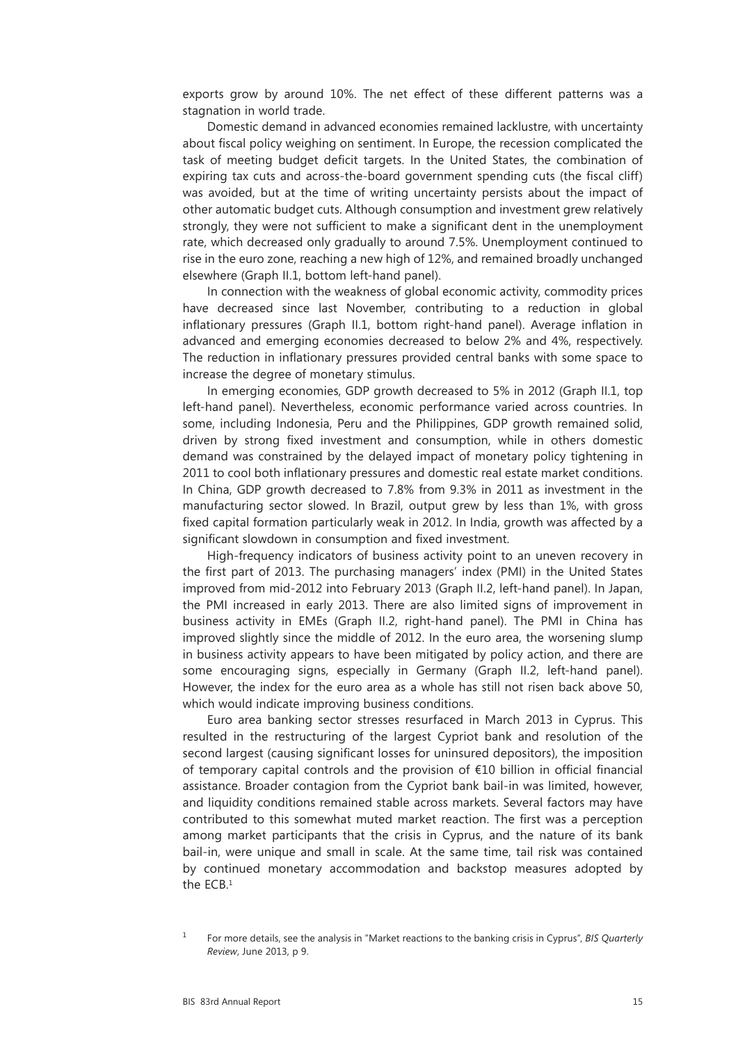exports grow by around 10%. The net effect of these different patterns was a stagnation in world trade.

Domestic demand in advanced economies remained lacklustre, with uncertainty about fiscal policy weighing on sentiment. In Europe, the recession complicated the task of meeting budget deficit targets. In the United States, the combination of expiring tax cuts and across-the-board government spending cuts (the fiscal cliff) was avoided, but at the time of writing uncertainty persists about the impact of other automatic budget cuts. Although consumption and investment grew relatively strongly, they were not sufficient to make a significant dent in the unemployment rate, which decreased only gradually to around 7.5%. Unemployment continued to rise in the euro zone, reaching a new high of 12%, and remained broadly unchanged elsewhere (Graph II.1, bottom left-hand panel).

In connection with the weakness of global economic activity, commodity prices have decreased since last November, contributing to a reduction in global inflationary pressures (Graph II.1, bottom right-hand panel). Average inflation in advanced and emerging economies decreased to below 2% and 4%, respectively. The reduction in inflationary pressures provided central banks with some space to increase the degree of monetary stimulus.

In emerging economies, GDP growth decreased to 5% in 2012 (Graph II.1, top left-hand panel). Nevertheless, economic performance varied across countries. In some, including Indonesia, Peru and the Philippines, GDP growth remained solid, driven by strong fixed investment and consumption, while in others domestic demand was constrained by the delayed impact of monetary policy tightening in 2011 to cool both inflationary pressures and domestic real estate market conditions. In China, GDP growth decreased to 7.8% from 9.3% in 2011 as investment in the manufacturing sector slowed. In Brazil, output grew by less than 1%, with gross fixed capital formation particularly weak in 2012. In India, growth was affected by a significant slowdown in consumption and fixed investment.

High-frequency indicators of business activity point to an uneven recovery in the first part of 2013. The purchasing managers' index (PMI) in the United States improved from mid-2012 into February 2013 (Graph II.2, left-hand panel). In Japan, the PMI increased in early 2013. There are also limited signs of improvement in business activity in EMEs (Graph II.2, right-hand panel). The PMI in China has improved slightly since the middle of 2012. In the euro area, the worsening slump in business activity appears to have been mitigated by policy action, and there are some encouraging signs, especially in Germany (Graph II.2, left-hand panel). However, the index for the euro area as a whole has still not risen back above 50, which would indicate improving business conditions.

Euro area banking sector stresses resurfaced in March 2013 in Cyprus. This resulted in the restructuring of the largest Cypriot bank and resolution of the second largest (causing significant losses for uninsured depositors), the imposition of temporary capital controls and the provision of €10 billion in official financial assistance. Broader contagion from the Cypriot bank bail-in was limited, however, and liquidity conditions remained stable across markets. Several factors may have contributed to this somewhat muted market reaction. The first was a perception among market participants that the crisis in Cyprus, and the nature of its bank bail-in, were unique and small in scale. At the same time, tail risk was contained by continued monetary accommodation and backstop measures adopted by the ECB.1

<sup>1</sup> For more details, see the analysis in "Market reactions to the banking crisis in Cyprus", *BIS Quarterly Review*, June 2013, p 9.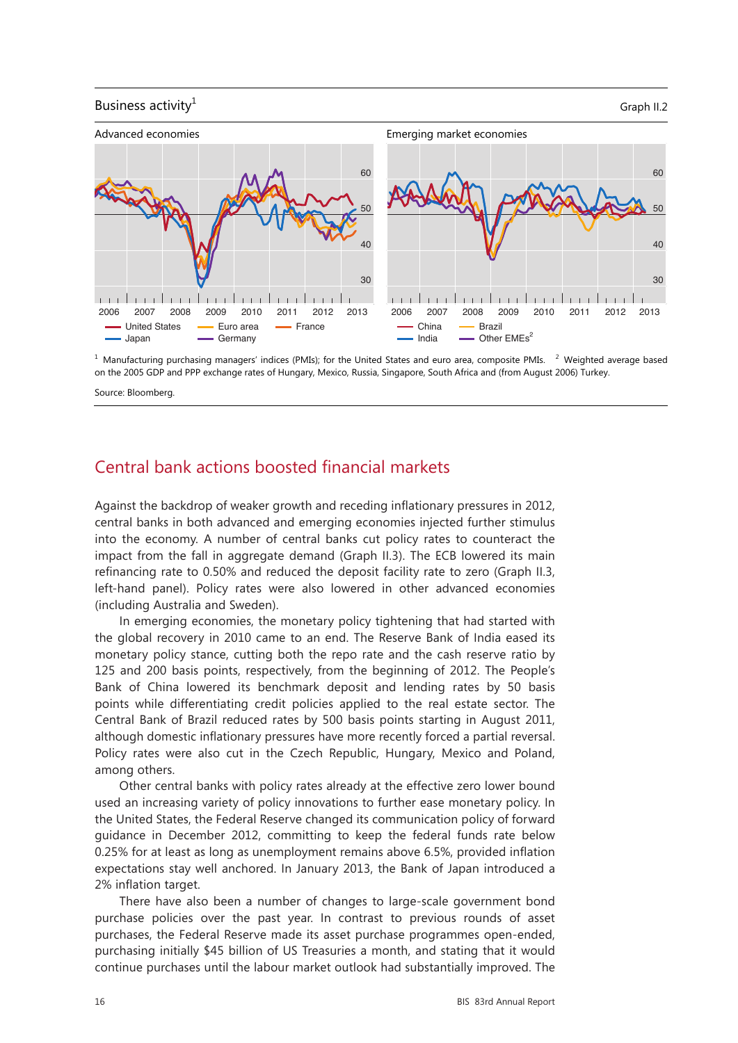### Business activity<sup>1</sup> Graph II.2



 $1$  Manufacturing purchasing managers' indices (PMIs); for the United States and euro area, composite PMIs.  $2$  Weighted average based on the 2005 GDP and PPP exchange rates of Hungary, Mexico, Russia, Singapore, South Africa and (from August 2006) Turkey.

Source: Bloomberg.

## Central bank actions boosted financial markets

Against the backdrop of weaker growth and receding inflationary pressures in 2012, central banks in both advanced and emerging economies injected further stimulus into the economy. A number of central banks cut policy rates to counteract the impact from the fall in aggregate demand (Graph II.3). The ECB lowered its main refinancing rate to 0.50% and reduced the deposit facility rate to zero (Graph II.3, left-hand panel). Policy rates were also lowered in other advanced economies (including Australia and Sweden).

In emerging economies, the monetary policy tightening that had started with the global recovery in 2010 came to an end. The Reserve Bank of India eased its monetary policy stance, cutting both the repo rate and the cash reserve ratio by 125 and 200 basis points, respectively, from the beginning of 2012. The People's Bank of China lowered its benchmark deposit and lending rates by 50 basis points while differentiating credit policies applied to the real estate sector. The Central Bank of Brazil reduced rates by 500 basis points starting in August 2011, although domestic inflationary pressures have more recently forced a partial reversal. Policy rates were also cut in the Czech Republic, Hungary, Mexico and Poland, among others.

Other central banks with policy rates already at the effective zero lower bound used an increasing variety of policy innovations to further ease monetary policy. In the United States, the Federal Reserve changed its communication policy of forward guidance in December 2012, committing to keep the federal funds rate below 0.25% for at least as long as unemployment remains above 6.5%, provided inflation expectations stay well anchored. In January 2013, the Bank of Japan introduced a 2% inflation target.

There have also been a number of changes to large-scale government bond purchase policies over the past year. In contrast to previous rounds of asset purchases, the Federal Reserve made its asset purchase programmes open-ended, purchasing initially \$45 billion of US Treasuries a month, and stating that it would continue purchases until the labour market outlook had substantially improved. The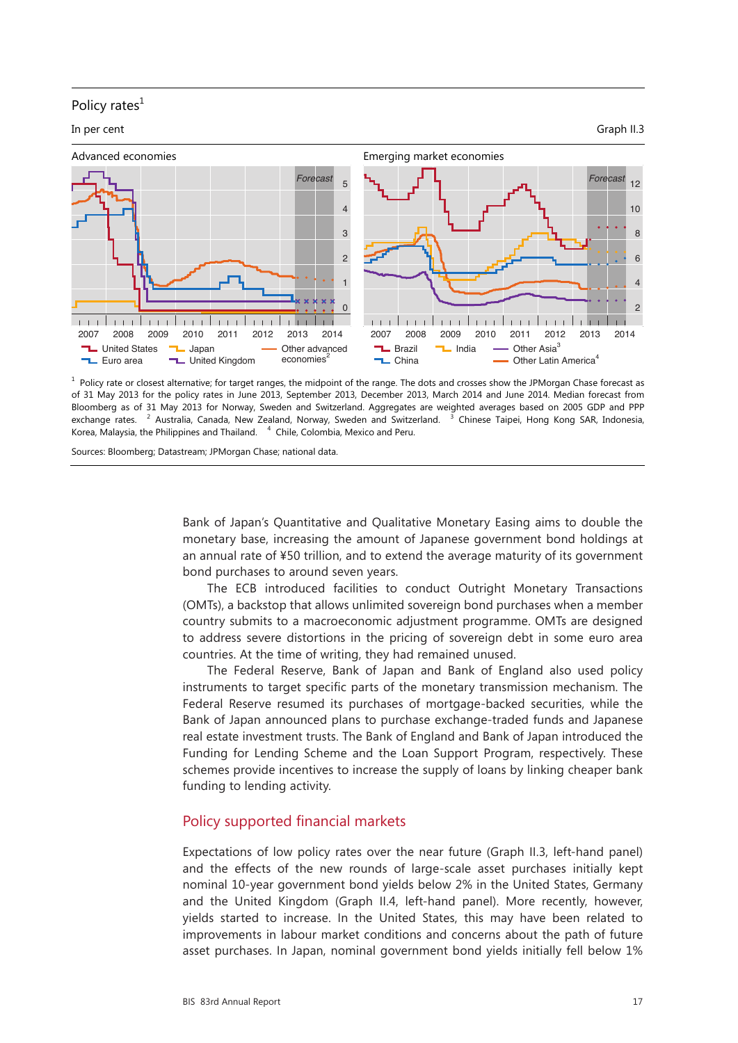### Policy rates $<sup>1</sup>$ </sup>





<sup>1</sup> Policy rate or closest alternative; for target ranges, the midpoint of the range. The dots and crosses show the JPMorgan Chase forecast as of 31 May 2013 for the policy rates in June 2013, September 2013, December 2013, March 2014 and June 2014. Median forecast from Bloomberg as of 31 May 2013 for Norway, Sweden and Switzerland. Aggregates are weighted averages based on 2005 GDP and PPP exchange rates. <sup>2</sup> Australia, Canada, New Zealand, Norway, Sweden and Switzerland. <sup>3</sup> Chinese Taipei, Hong Kong SAR, Indonesia, Korea, Malaysia, the Philippines and Thailand.  $4$  Chile, Colombia, Mexico and Peru.

Sources: Bloomberg; Datastream; JPMorgan Chase; national data.

Bank of Japan's Quantitative and Qualitative Monetary Easing aims to double the monetary base, increasing the amount of Japanese government bond holdings at an annual rate of ¥50 trillion, and to extend the average maturity of its government bond purchases to around seven years.

The ECB introduced facilities to conduct Outright Monetary Transactions (OMTs), a backstop that allows unlimited sovereign bond purchases when a member country submits to a macroeconomic adjustment programme. OMTs are designed to address severe distortions in the pricing of sovereign debt in some euro area countries. At the time of writing, they had remained unused.

The Federal Reserve, Bank of Japan and Bank of England also used policy instruments to target specific parts of the monetary transmission mechanism. The Federal Reserve resumed its purchases of mortgage-backed securities, while the Bank of Japan announced plans to purchase exchange-traded funds and Japanese real estate investment trusts. The Bank of England and Bank of Japan introduced the Funding for Lending Scheme and the Loan Support Program, respectively. These schemes provide incentives to increase the supply of loans by linking cheaper bank funding to lending activity.

## Policy supported financial markets

Expectations of low policy rates over the near future (Graph II.3, left-hand panel) and the effects of the new rounds of large-scale asset purchases initially kept nominal 10-year government bond yields below 2% in the United States, Germany 3 and the United Kingdom (Graph II.4, left-hand panel). More recently, however, yields started to increase. In the United States, this may have been related to improvements in labour market conditions and concerns about the path of future asset purchases. In Japan, nominal government bond yields initially fell below 1%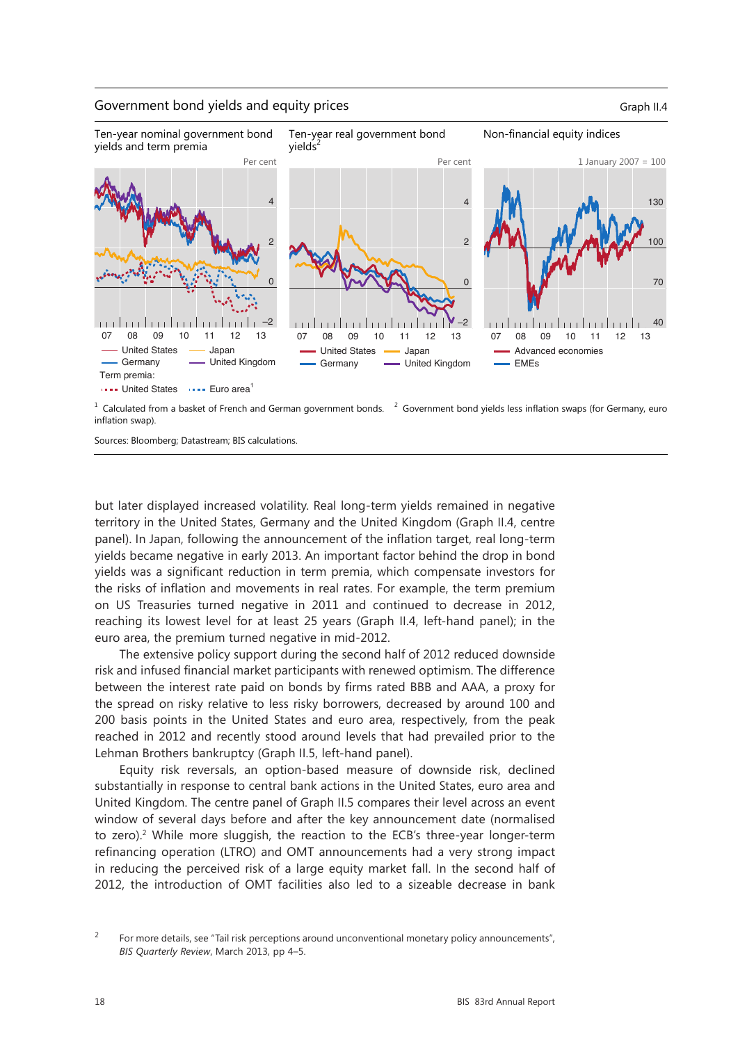#### Government bond yields and equity prices Graph II.4



 $1$  Calculated from a basket of French and German government bonds.  $2$  Government bond yields less inflation swaps (for Germany, euro inflation swap).

Sources: Bloomberg; Datastream; BIS calculations.

but later displayed increased volatility. Real long-term yields remained in negative territory in the United States, Germany and the United Kingdom (Graph II.4, centre panel). In Japan, following the announcement of the inflation target, real long-term yields became negative in early 2013. An important factor behind the drop in bond yields was a significant reduction in term premia, which compensate investors for the risks of inflation and movements in real rates. For example, the term premium on US Treasuries turned negative in 2011 and continued to decrease in 2012, reaching its lowest level for at least 25 years (Graph II.4, left-hand panel); in the euro area, the premium turned negative in mid-2012.

The extensive policy support during the second half of 2012 reduced downside risk and infused financial market participants with renewed optimism. The difference between the interest rate paid on bonds by firms rated BBB and AAA, a proxy for the spread on risky relative to less risky borrowers, decreased by around 100 and 200 basis points in the United States and euro area, respectively, from the peak reached in 2012 and recently stood around levels that had prevailed prior to the Lehman Brothers bankruptcy (Graph II.5, left-hand panel).

Equity risk reversals, an option-based measure of downside risk, declined substantially in response to central bank actions in the United States, euro area and United Kingdom. The centre panel of Graph II.5 compares their level across an event window of several days before and after the key announcement date (normalised to zero).2 While more sluggish, the reaction to the ECB's three-year longer-term refinancing operation (LTRO) and OMT announcements had a very strong impact in reducing the perceived risk of a large equity market fall. In the second half of 2012, the introduction of OMT facilities also led to a sizeable decrease in bank

<sup>&</sup>lt;sup>2</sup> For more details, see "Tail risk perceptions around unconventional monetary policy announcements", *BIS Quarterly Review*, March 2013, pp 4–5.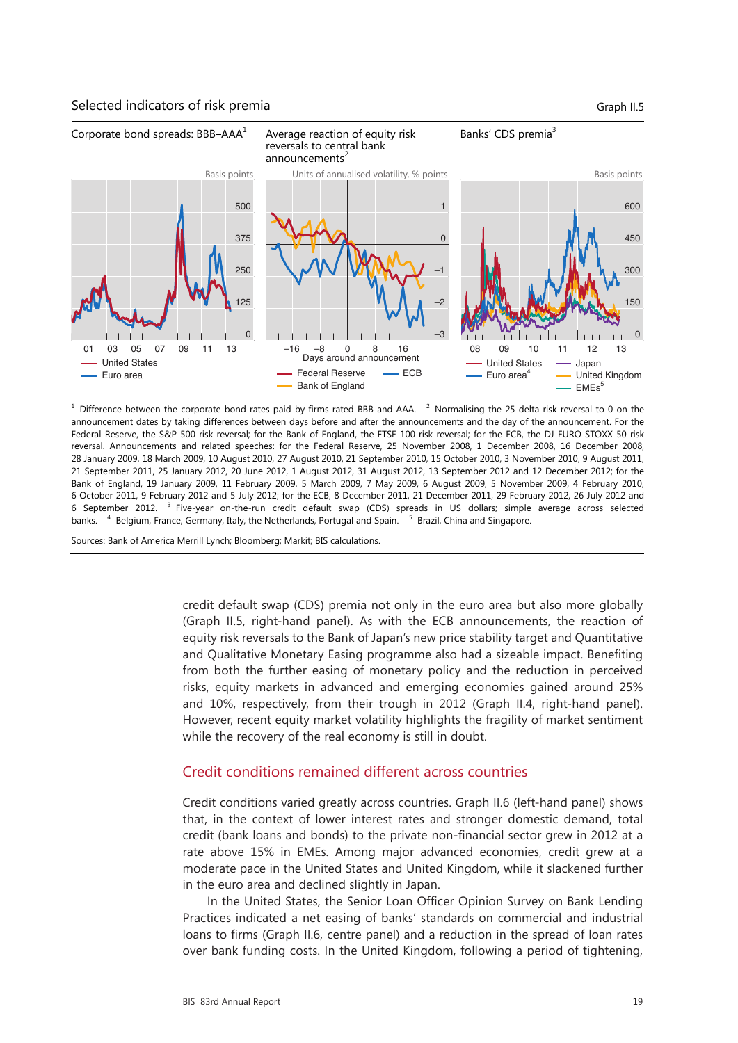#### Selected indicators of risk premia Graph II.5



 $^1$  Difference between the corporate bond rates paid by firms rated BBB and AAA.  $^2$  Normalising the 25 delta risk reversal to 0 on the announcement dates by taking differences between days before and after the announcements and the day of the announcement. For the Federal Reserve, the S&P 500 risk reversal; for the Bank of England, the FTSE 100 risk reversal; for the ECB, the DJ EURO STOXX 50 risk reversal. Announcements and related speeches: for the Federal Reserve, 25 November 2008, 1 December 2008, 16 December 2008, 28 January 2009, 18 March 2009, 10 August 2010, 27 August 2010, 21 September 2010, 15 October 2010, 3 November 2010, 9 August 2011, 21 September 2011, 25 January 2012, 20 June 2012, 1 August 2012, 31 August 2012, 13 September 2012 and 12 December 2012; for the Bank of England, 19 January 2009, 11 February 2009, 5 March 2009, 7 May 2009, 6 August 2009, 5 November 2009, 4 February 2010, 6 October 2011, 9 February 2012 and 5 July 2012; for the ECB, 8 December 2011, 21 December 2011, 29 February 2012, 26 July 2012 and 6 September 2012. <sup>3</sup> Five-year on-the-run credit default swap (CDS) spreads in US dollars; simple average across selected banks. <sup>4</sup> Belgium, France, Germany, Italy, the Netherlands, Portugal and Spain. <sup>5</sup> Brazil, China and Singapore.

Sources: Bank of America Merrill Lynch; Bloomberg; Markit; BIS calculations.

credit default swap (CDS) premia not only in the euro area but also more globally (Graph II.5, right-hand panel). As with the ECB announcements, the reaction of equity risk reversals to the Bank of Japan's new price stability target and Quantitative and Qualitative Monetary Easing programme also had a sizeable impact. Benefiting from both the further easing of monetary policy and the reduction in perceived risks, equity markets in advanced and emerging economies gained around 25% and 10%, respectively, from their trough in 2012 (Graph II.4, right-hand panel). However, recent equity market volatility highlights the fragility of market sentiment while the recovery of the real economy is still in doubt.

#### Credit conditions remained different across countries

Credit conditions varied greatly across countries. Graph II.6 (left-hand panel) shows that, in the context of lower interest rates and stronger domestic demand, total credit (bank loans and bonds) to the private non-financial sector grew in 2012 at a rate above 15% in EMEs. Among major advanced economies, credit grew at a moderate pace in the United States and United Kingdom, while it slackened further in the euro area and declined slightly in Japan.

In the United States, the Senior Loan Officer Opinion Survey on Bank Lending Practices indicated a net easing of banks' standards on commercial and industrial loans to firms (Graph II.6, centre panel) and a reduction in the spread of loan rates over bank funding costs. In the United Kingdom, following a period of tightening,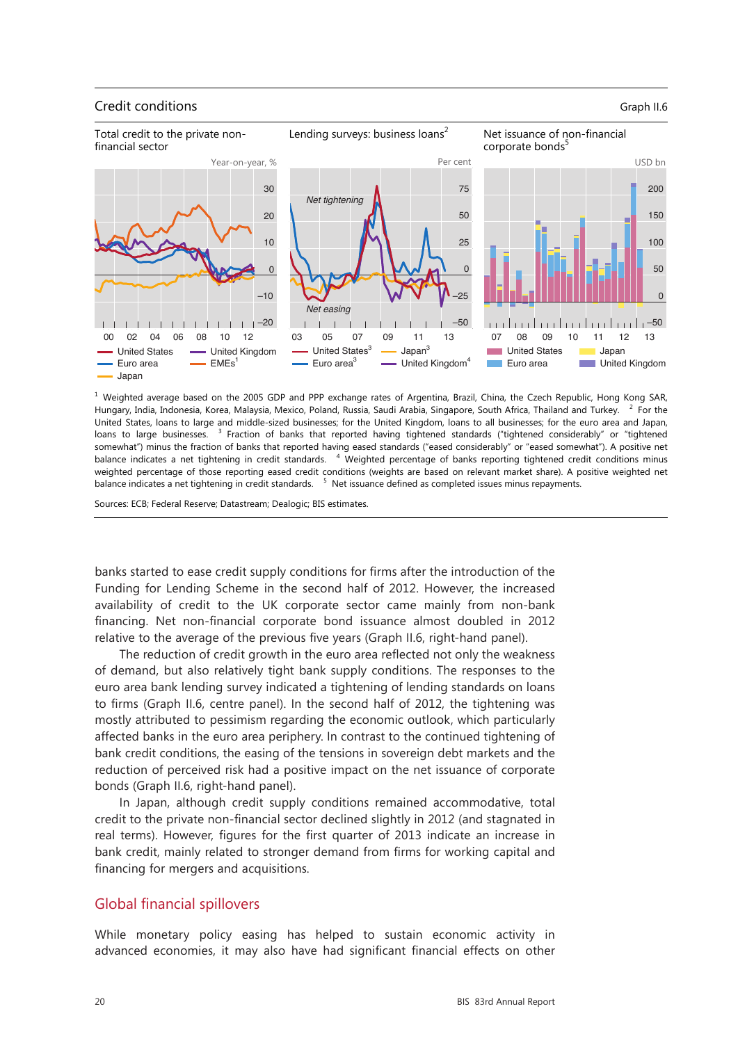#### **Credit conditions** Graph II.6



<sup>1</sup> Weighted average based on the 2005 GDP and PPP exchange rates of Argentina, Brazil, China, the Czech Republic, Hong Kong SAR, Hungary, India, Indonesia, Korea, Malaysia, Mexico, Poland, Russia, Saudi Arabia, Singapore, South Africa, Thailand and Turkey. <sup>2</sup> For the United States, loans to large and middle-sized businesses; for the United Kingdom, loans to all businesses; for the euro area and Japan, loans to large businesses. <sup>3</sup> Fraction of banks that reported having tightened standards ("tightened considerably" or "tightened somewhat") minus the fraction of banks that reported having eased standards ("eased considerably" or "eased somewhat"). A positive net balance indicates a net tightening in credit standards. <sup>4</sup> Weighted percentage of banks reporting tightened credit conditions minus weighted percentage of those reporting eased credit conditions (weights are based on relevant market share). A positive weighted net balance indicates a net tightening in credit standards. <sup>5</sup> Net issuance defined as completed issues minus repayments.

Sources: ECB; Federal Reserve; Datastream; Dealogic; BIS estimates.

banks started to ease credit supply conditions for firms after the introduction of the Funding for Lending Scheme in the second half of 2012. However, the increased availability of credit to the UK corporate sector came mainly from non-bank financing. Net non-financial corporate bond issuance almost doubled in 2012 relative to the average of the previous five years (Graph II.6, right-hand panel).

The reduction of credit growth in the euro area reflected not only the weakness of demand, but also relatively tight bank supply conditions. The responses to the euro area bank lending survey indicated a tightening of lending standards on loans to firms (Graph II.6, centre panel). In the second half of 2012, the tightening was mostly attributed to pessimism regarding the economic outlook, which particularly affected banks in the euro area periphery. In contrast to the continued tightening of bank credit conditions, the easing of the tensions in sovereign debt markets and the reduction of perceived risk had a positive impact on the net issuance of corporate bonds (Graph II.6, right-hand panel).

In Japan, although credit supply conditions remained accommodative, total credit to the private non-financial sector declined slightly in 2012 (and stagnated in real terms). However, figures for the first quarter of 2013 indicate an increase in bank credit, mainly related to stronger demand from firms for working capital and financing for mergers and acquisitions.

### Global financial spillovers

While monetary policy easing has helped to sustain economic activity in advanced economies, it may also have had significant financial effects on other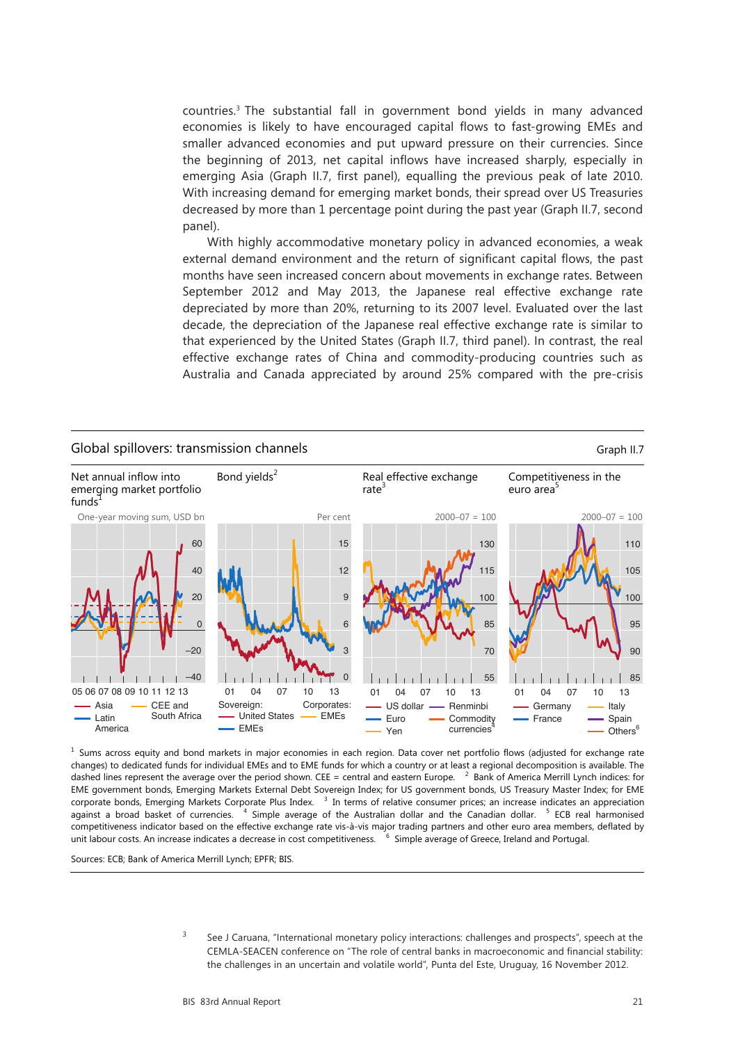countries.3 The substantial fall in government bond yields in many advanced economies is likely to have encouraged capital flows to fast-growing EMEs and smaller advanced economies and put upward pressure on their currencies. Since the beginning of 2013, net capital inflows have increased sharply, especially in emerging Asia (Graph II.7, first panel), equalling the previous peak of late 2010. With increasing demand for emerging market bonds, their spread over US Treasuries decreased by more than 1 percentage point during the past year (Graph II.7, second panel).

With highly accommodative monetary policy in advanced economies, a weak external demand environment and the return of significant capital flows, the past months have seen increased concern about movements in exchange rates. Between September 2012 and May 2013, the Japanese real effective exchange rate depreciated by more than 20%, returning to its 2007 level. Evaluated over the last decade, the depreciation of the Japanese real effective exchange rate is similar to that experienced by the United States (Graph II.7, third panel). In contrast, the real effective exchange rates of China and commodity-producing countries such as Australia and Canada appreciated by around 25% compared with the pre-crisis



<sup>1</sup> Sums across equity and bond markets in major economies in each region. Data cover net portfolio flows (adjusted for exchange rate changes) to dedicated funds for individual EMEs and to EME funds for which a country or at least a regional decomposition is available. The dashed lines represent the average over the period shown. CEE = central and eastern Europe.  $2$  Bank of America Merrill Lynch indices: for EME government bonds, Emerging Markets External Debt Sovereign Index; for US government bonds, US Treasury Master Index; for EME corporate bonds, Emerging Markets Corporate Plus Index. <sup>3</sup> In terms of relative consumer prices; an increase indicates an appreciation against a broad basket of currencies. <sup>4</sup> Simple average of the Australian dollar and the Canadian dollar.  $5$  ECB real harmonised competitiveness indicator based on the effective exchange rate vis-à-vis major trading partners and other euro area members, deflated by unit labour costs. An increase indicates a decrease in cost competitiveness. <sup>6</sup>  $\sim$ <sup>6</sup> Simple average of Greece, Ireland and Portugal.

Sources: ECB; Bank of America Merrill Lynch; EPFR; BIS.

<sup>3</sup> See J Caruana, "International monetary policy interactions: challenges and prospects", speech at the CEMLA-SEACEN conference on "The role of central banks in macroeconomic and financial stability: the challenges in an uncertain and volatile world", Punta del Este, Uruguay, 16 November 2012.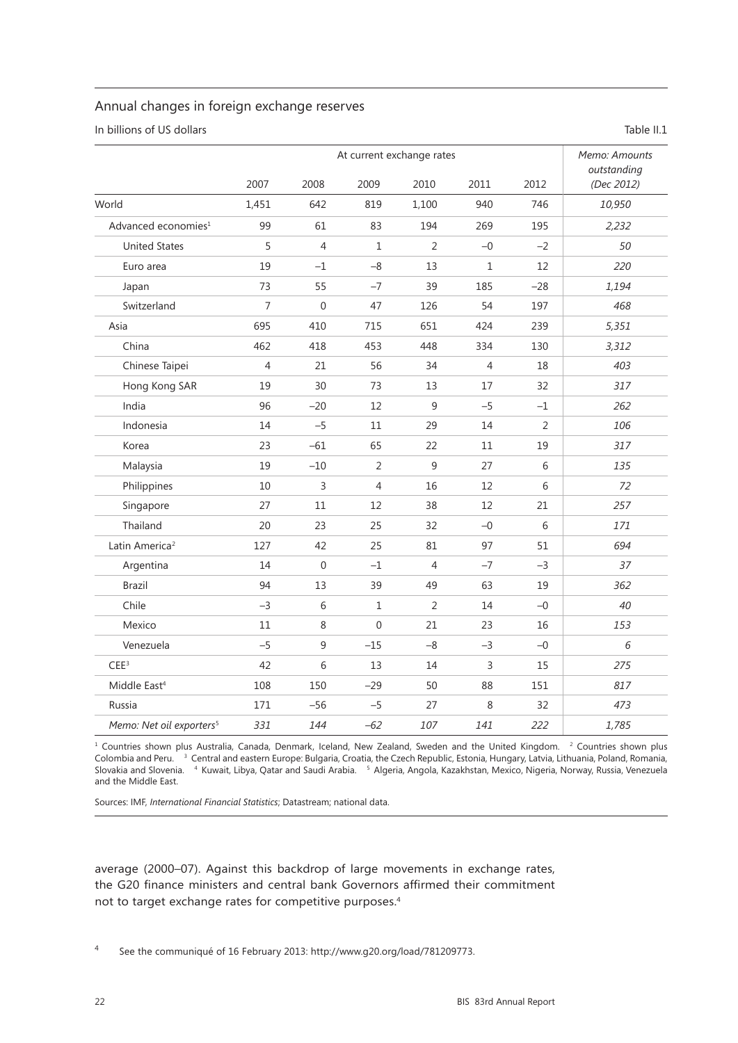## Annual changes in foreign exchange reserves

In billions of US dollars Table II.1

|                                      | At current exchange rates |                  |                |                |                |       | Memo: Amounts<br>outstanding |
|--------------------------------------|---------------------------|------------------|----------------|----------------|----------------|-------|------------------------------|
|                                      | 2007                      | 2008             | 2009           | 2010           | 2011           | 2012  | (Dec 2012)                   |
| World                                | 1,451                     | 642              | 819            | 1,100          | 940            | 746   | 10,950                       |
| Advanced economies <sup>1</sup>      | 99                        | 61               | 83             | 194            | 269            | 195   | 2,232                        |
| <b>United States</b>                 | 5                         | $\overline{4}$   | 1              | 2              | $-0$           | $-2$  | 50                           |
| Euro area                            | 19                        | $-1$             | $-8$           | 13             | $\mathbf{1}$   | 12    | 220                          |
| Japan                                | 73                        | 55               | $-7$           | 39             | 185            | $-28$ | 1,194                        |
| Switzerland                          | $\overline{7}$            | $\boldsymbol{0}$ | 47             | 126            | 54             | 197   | 468                          |
| Asia                                 | 695                       | 410              | 715            | 651            | 424            | 239   | 5,351                        |
| China                                | 462                       | 418              | 453            | 448            | 334            | 130   | 3,312                        |
| Chinese Taipei                       | $\overline{4}$            | 21               | 56             | 34             | $\overline{4}$ | 18    | 403                          |
| Hong Kong SAR                        | 19                        | 30               | 73             | 13             | 17             | 32    | 317                          |
| India                                | 96                        | $-20$            | 12             | $\overline{9}$ | $-5$           | $-1$  | 262                          |
| Indonesia                            | 14                        | $-5$             | 11             | 29             | 14             | 2     | 106                          |
| Korea                                | 23                        | $-61$            | 65             | 22             | 11             | 19    | 317                          |
| Malaysia                             | 19                        | $-10$            | $\overline{2}$ | $\overline{9}$ | 27             | 6     | 135                          |
| Philippines                          | 10                        | $\overline{3}$   | 4              | 16             | 12             | 6     | 72                           |
| Singapore                            | 27                        | 11               | 12             | 38             | 12             | 21    | 257                          |
| Thailand                             | 20                        | 23               | 25             | 32             | $-0$           | 6     | 171                          |
| Latin America <sup>2</sup>           | 127                       | 42               | 25             | 81             | 97             | 51    | 694                          |
| Argentina                            | 14                        | $\boldsymbol{0}$ | $-1$           | 4              | $-7$           | $-3$  | 37                           |
| <b>Brazil</b>                        | 94                        | 13               | 39             | 49             | 63             | 19    | 362                          |
| Chile                                | $-3$                      | 6                | $\mathbf{1}$   | $\overline{2}$ | 14             | $-0$  | 40                           |
| Mexico                               | 11                        | 8                | $\Omega$       | 21             | 23             | 16    | 153                          |
| Venezuela                            | $-5$                      | $\overline{9}$   | $-15$          | $-8$           | $-3$           | $-0$  | 6                            |
| CEE <sup>3</sup>                     | 42                        | $\sqrt{6}$       | 13             | 14             | $\mathsf{3}$   | 15    | 275                          |
| Middle East <sup>4</sup>             | 108                       | 150              | $-29$          | 50             | 88             | 151   | 817                          |
| Russia                               | 171                       | $-56$            | $-5$           | 27             | 8              | 32    | 473                          |
| Memo: Net oil exporters <sup>5</sup> | 331                       | 144              | $-62$          | 107            | 141            | 222   | 1,785                        |

<sup>1</sup> Countries shown plus Australia, Canada, Denmark, Iceland, New Zealand, Sweden and the United Kingdom. <sup>2</sup> Countries shown plus Colombia and Peru. <sup>3</sup> Central and eastern Europe: Bulgaria, Croatia, the Czech Republic, Estonia, Hungary, Latvia, Lithuania, Poland, Romania, Slovakia and Slovenia.    <sup>4</sup>   Kuwait, Libya, Qatar and Saudi Arabia.    <sup>5</sup> Algeria, Angola, Kazakhstan, Mexico, Nigeria, Norway, Russia, Venezuela and the Middle East.

Sources: IMF, *International Financial Statistics*; Datastream; national data.

average (2000–07). Against this backdrop of large movements in exchange rates, the G20 finance ministers and central bank Governors affirmed their commitment not to target exchange rates for competitive purposes.4

<sup>4</sup> See the communiqué of 16 February 2013: http://www.g20.org/load/781209773.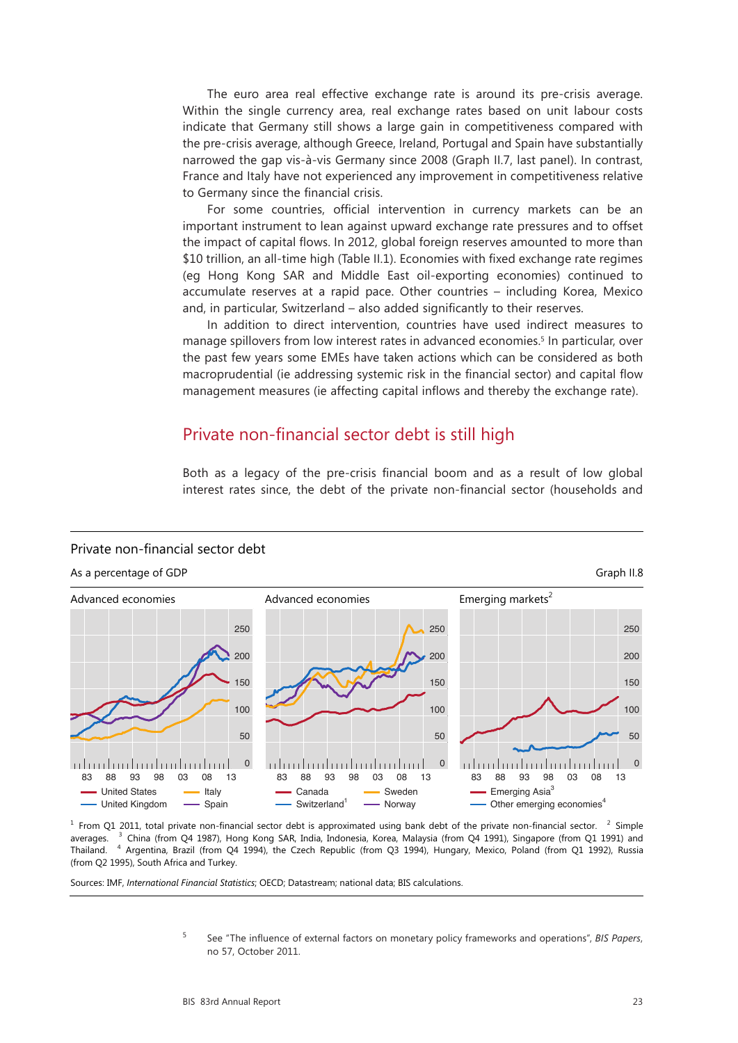The euro area real effective exchange rate is around its pre-crisis average. Within the single currency area, real exchange rates based on unit labour costs indicate that Germany still shows a large gain in competitiveness compared with the pre-crisis average, although Greece, Ireland, Portugal and Spain have substantially narrowed the gap vis-à-vis Germany since 2008 (Graph II.7, last panel). In contrast, France and Italy have not experienced any improvement in competitiveness relative to Germany since the financial crisis.

For some countries, official intervention in currency markets can be an important instrument to lean against upward exchange rate pressures and to offset the impact of capital flows. In 2012, global foreign reserves amounted to more than \$10 trillion, an all-time high (Table II.1). Economies with fixed exchange rate regimes (eg Hong Kong SAR and Middle East oil-exporting economies) continued to accumulate reserves at a rapid pace. Other countries – including Korea, Mexico and, in particular, Switzerland – also added significantly to their reserves.

In addition to direct intervention, countries have used indirect measures to manage spillovers from low interest rates in advanced economies.<sup>5</sup> In particular, over the past few years some EMEs have taken actions which can be considered as both macroprudential (ie addressing systemic risk in the financial sector) and capital flow management measures (ie affecting capital inflows and thereby the exchange rate).

## Private non-financial sector debt is still high

Both as a legacy of the pre-crisis financial boom and as a result of low global interest rates since, the debt of the private non-financial sector (households and

### Private non-financial sector debt



As a percentage of GDP Graph II.8

 $1$  From Q1 2011, total private non-financial sector debt is approximated using bank debt of the private non-financial sector.  $2$  Simple averages.  $3$  China (from Q4 1987), Hong Kong SAR, India, Indonesia, Korea, Malaysia (from Q4 1991), Singapore (from Q1 1991) and Thailand. <sup>4</sup> Argentina, Brazil (from Q4 1994), the Czech Republic (from Q3 1994), Hungary, Mexico, Poland (from Q1 1992), Russia (from Q2 1995), South Africa and Turkey.

Sources: IMF, *International Financial Statistics*; OECD; Datastream; national data; BIS calculations.

<sup>5</sup> See "The influence of external factors on monetary policy frameworks and operations", *BIS Papers*, no 57, October 2011.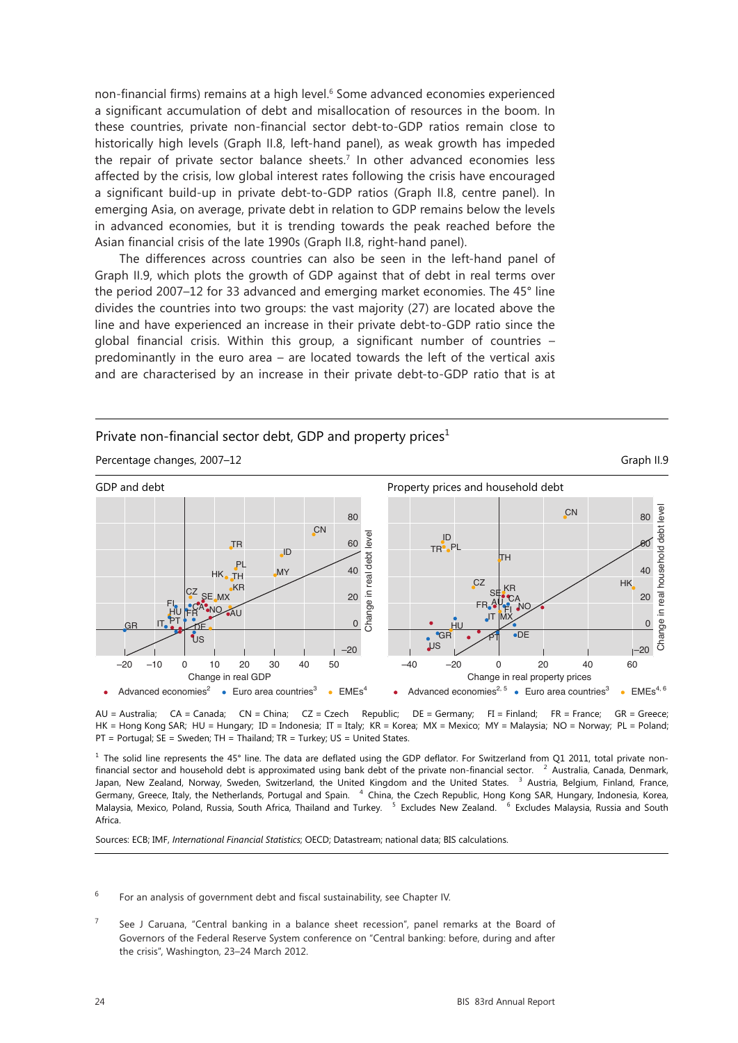non-financial firms) remains at a high level.<sup>6</sup> Some advanced economies experienced a significant accumulation of debt and misallocation of resources in the boom. In these countries, private non-financial sector debt-to-GDP ratios remain close to historically high levels (Graph II.8, left-hand panel), as weak growth has impeded the repair of private sector balance sheets.7 In other advanced economies less affected by the crisis, low global interest rates following the crisis have encouraged a significant build-up in private debt-to-GDP ratios (Graph II.8, centre panel). In emerging Asia, on average, private debt in relation to GDP remains below the levels in advanced economies, but it is trending towards the peak reached before the Asian financial crisis of the late 1990s (Graph II.8, right-hand panel).

The differences across countries can also be seen in the left-hand panel of Graph II.9, which plots the growth of GDP against that of debt in real terms over the period 2007–12 for 33 advanced and emerging market economies. The 45° line divides the countries into two groups: the vast majority (27) are located above the line and have experienced an increase in their private debt-to-GDP ratio since the global financial crisis. Within this group, a significant number of countries – predominantly in the euro area – are located towards the left of the vertical axis and are characterised by an increase in their private debt-to-GDP ratio that is at

Private non-financial sector debt, GDP and property prices $<sup>1</sup>$ </sup>



AU = Australia; CA = Canada; CN = China; CZ = Czech Republic; DE = Germany; FI = Finland; FR = France; GR = Greece; HK = Hong Kong SAR; HU = Hungary; ID = Indonesia; IT = Italy; KR = Korea; MX = Mexico; MY = Malaysia; NO = Norway; PL = Poland; PT = Portugal; SE = Sweden; TH = Thailand; TR = Turkey; US = United States.

 $1$  The solid line represents the 45° line. The data are deflated using the GDP deflator. For Switzerland from Q1 2011, total private nonfinancial sector and household debt is approximated using bank debt of the private non-financial sector.  $2$  Australia, Canada, Denmark, Japan, New Zealand, Norway, Sweden, Switzerland, the United Kingdom and the United States. <sup>3</sup> Austria, Belgium, Finland, France, Germany, Greece, Italy, the Netherlands, Portugal and Spain. <sup>4</sup> China, the Czech Republic, Hong Kong SAR, Hungary, Indonesia, Korea, Malaysia, Mexico, Poland, Russia, South Africa, Thailand and Turkey. <sup>5</sup> Excludes New Zealand. <sup>6</sup> Excludes Malaysia, Russia and South Africa.

Sources: ECB; IMF, *International Financial Statistics*; OECD; Datastream; national data; BIS calculations.

 $6$  For an analysis of government debt and fiscal sustainability, see Chapter IV.

<sup>&</sup>lt;sup>7</sup> See J Caruana, "Central banking in a balance sheet recession", panel remarks at the Board of Governors of the Federal Reserve System conference on "Central banking: before, during and after the crisis", Washington, 23–24 March 2012.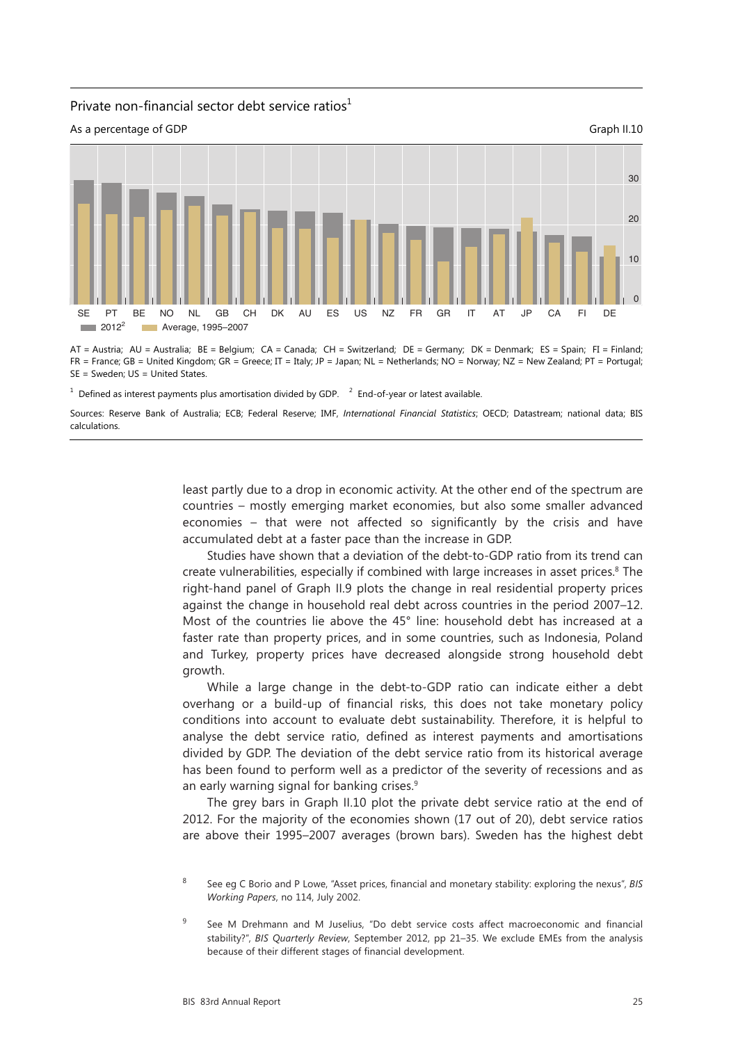#### Private non-financial sector debt service ratios $<sup>1</sup>$ </sup>



AT = Austria; AU = Australia; BE = Belgium; CA = Canada; CH = Switzerland; DE = Germany; DK = Denmark; ES = Spain; FI = Finland; FR = France; GB = United Kingdom; GR = Greece; IT = Italy; JP = Japan; NL = Netherlands; NO = Norway; NZ = New Zealand; PT = Portugal; SE = Sweden; US = United States.

 $<sup>1</sup>$  Defined as interest payments plus amortisation divided by GDP.  $<sup>2</sup>$  End-of-year or latest available.</sup></sup>

Sources: Reserve Bank of Australia; ECB; Federal Reserve; IMF, *International Financial Statistics*; OECD; Datastream; national data; BIS calculations.

> least partly due to a drop in economic activity. At the other end of the spectrum are countries – mostly emerging market economies, but also some smaller advanced economies – that were not affected so significantly by the crisis and have accumulated debt at a faster pace than the increase in GDP.

> Studies have shown that a deviation of the debt-to-GDP ratio from its trend can create vulnerabilities, especially if combined with large increases in asset prices.<sup>8</sup> The right-hand panel of Graph II.9 plots the change in real residential property prices against the change in household real debt across countries in the period 2007–12. Most of the countries lie above the 45° line: household debt has increased at a faster rate than property prices, and in some countries, such as Indonesia, Poland and Turkey, property prices have decreased alongside strong household debt growth.

> While a large change in the debt-to-GDP ratio can indicate either a debt overhang or a build-up of financial risks, this does not take monetary policy conditions into account to evaluate debt sustainability. Therefore, it is helpful to analyse the debt service ratio, defined as interest payments and amortisations divided by GDP. The deviation of the debt service ratio from its historical average has been found to perform well as a predictor of the severity of recessions and as an early warning signal for banking crises.<sup>9</sup>

> The grey bars in Graph II.10 plot the private debt service ratio at the end of 2012. For the majority of the economies shown (17 out of 20), debt service ratios are above their 1995–2007 averages (brown bars). Sweden has the highest debt

<sup>8</sup> See eg C Borio and P Lowe, "Asset prices, financial and monetary stability: exploring the nexus", *BIS Working Papers*, no 114, July 2002.

<sup>&</sup>lt;sup>9</sup> See M Drehmann and M Juselius, "Do debt service costs affect macroeconomic and financial stability?", *BIS Quarterly Review*, September 2012, pp 21–35. We exclude EMEs from the analysis because of their different stages of financial development.